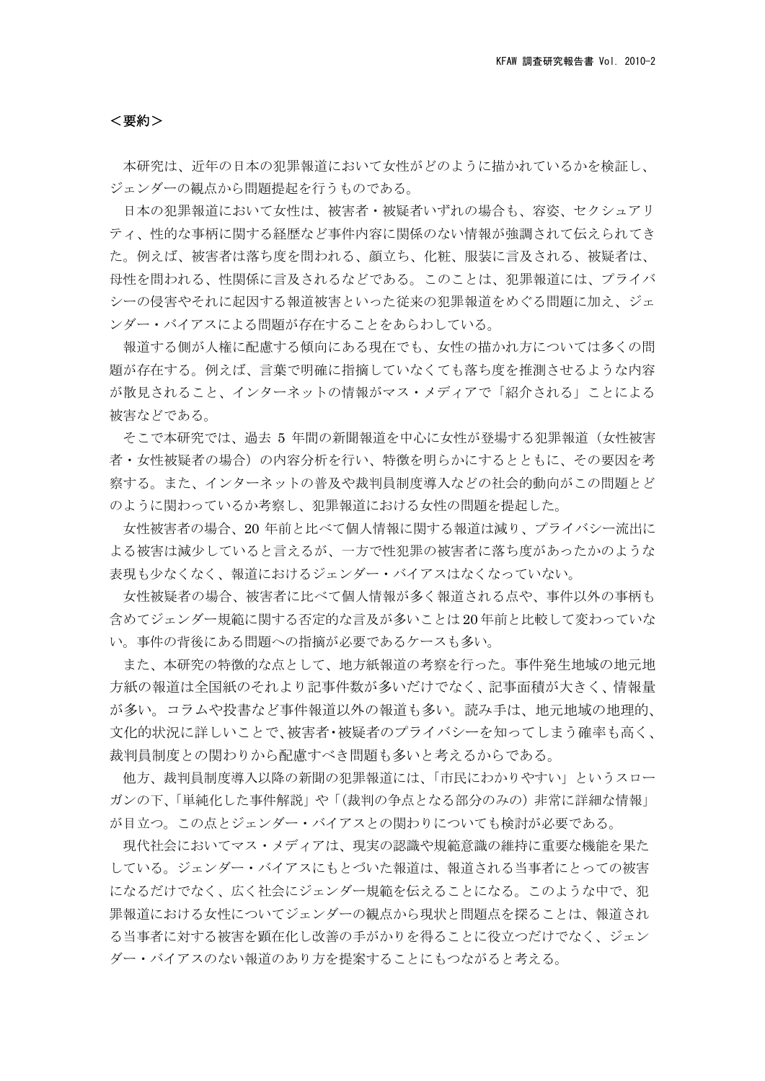## <要約>

本研究は、近年の日本の犯罪報道において女性がどのように描かれているかを検証し、 ジェンダーの観点から問題提起を行うものである。

日本の犯罪報道において女性は、被害者・被疑者いずれの場合も、容姿、セクシュアリ ティ、性的な事柄に関する経歴など事件内容に関係のない情報が強調されて伝えられてき た。例えば、被害者は落ち度を問われる、顔立ち、化粧、服装に言及される、被疑者は、 母性を問われる、性関係に言及されるなどである。このことは、犯罪報道には、プライバ シーの侵害やそれに起因する報道被害といった従来の犯罪報道をめぐる問題に加え、ジェ ンダー・バイアスによる問題が存在することをあらわしている。

報道する側が人権に配慮する傾向にある現在でも、女性の描かれ方については多くの問 題が存在する。例えば、言葉で明確に指摘していなくても落ち度を推測させるような内容 が散見されること、インターネットの情報がマス・メディアで「紹介される」ことによる 被害などである。

そこで本研究では、過去 5 年間の新聞報道を中心に女性が登場する犯罪報道(女性被害 者・女性被疑者の場合)の内容分析を行い、特徴を明らかにするとともに、その要因を考 察する。また、インターネットの普及や裁判員制度導入などの社会的動向がこの問題とど のように関わっているか考察し、犯罪報道における女性の問題を提起した。

女性被害者の場合、20 年前と比べて個人情報に関する報道は減り、プライバシー流出に よる被害は減少していると言えるが、一方で性犯罪の被害者に落ち度があったかのような 表現も少なくなく、報道におけるジェンダー・バイアスはなくなっていない。

女性被疑者の場合、被害者に比べて個人情報が多く報道される点や、事件以外の事柄も 含めてジェンダー規範に関する否定的な言及が多いことは 20 年前と比較して変わっていな い。事件の背後にある問題への指摘が必要であるケースも多い。

また、本研究の特徴的な点として、地方紙報道の考察を行った。事件発生地域の地元地 方紙の報道は全国紙のそれより記事件数が多いだけでなく、記事面積が大きく、情報量 が多い。コラムや投書など事件報道以外の報道も多い。読み手は、地元地域の地理的、 文化的状況に詳しいことで、被害者・被疑者のプライバシーを知ってしまう確率も高く、 裁判員制度との関わりから配慮すべき問題も多いと考えるからである。

他方、裁判員制度導入以降の新聞の犯罪報道には、「市民にわかりやすい」というスロー ガンの下、「単純化した事件解説」や「(裁判の争点となる部分のみの)非常に詳細な情報」 が目立つ。この点とジェンダー・バイアスとの関わりについても検討が必要である。

現代社会においてマス・メディアは、現実の認識や規範意識の維持に重要な機能を果た している。ジェンダー・バイアスにもとづいた報道は、報道される当事者にとっての被害 になるだけでなく、広く社会にジェンダー規範を伝えることになる。このような中で、犯 罪報道における女性についてジェンダーの観点から現状と問題点を探ることは、報道され る当事者に対する被害を顕在化し改善の手がかりを得ることに役立つだけでなく、ジェン ダー・バイアスのない報道のあり方を提案することにもつながると考える。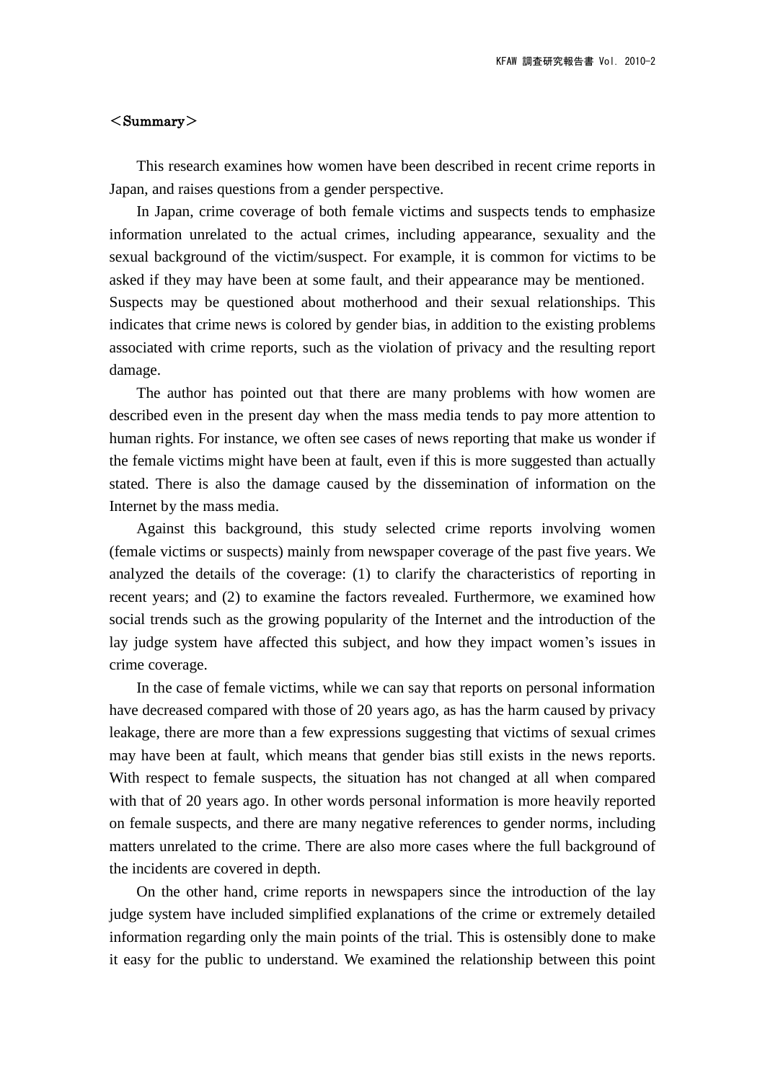## $<$ Summary $>$

This research examines how women have been described in recent crime reports in Japan, and raises questions from a gender perspective.

In Japan, crime coverage of both female victims and suspects tends to emphasize information unrelated to the actual crimes, including appearance, sexuality and the sexual background of the victim/suspect. For example, it is common for victims to be asked if they may have been at some fault, and their appearance may be mentioned. Suspects may be questioned about motherhood and their sexual relationships. This indicates that crime news is colored by gender bias, in addition to the existing problems associated with crime reports, such as the violation of privacy and the resulting report damage.

The author has pointed out that there are many problems with how women are described even in the present day when the mass media tends to pay more attention to human rights. For instance, we often see cases of news reporting that make us wonder if the female victims might have been at fault, even if this is more suggested than actually stated. There is also the damage caused by the dissemination of information on the Internet by the mass media.

Against this background, this study selected crime reports involving women (female victims or suspects) mainly from newspaper coverage of the past five years. We analyzed the details of the coverage: (1) to clarify the characteristics of reporting in recent years; and (2) to examine the factors revealed. Furthermore, we examined how social trends such as the growing popularity of the Internet and the introduction of the lay judge system have affected this subject, and how they impact women's issues in crime coverage.

In the case of female victims, while we can say that reports on personal information have decreased compared with those of 20 years ago, as has the harm caused by privacy leakage, there are more than a few expressions suggesting that victims of sexual crimes may have been at fault, which means that gender bias still exists in the news reports. With respect to female suspects, the situation has not changed at all when compared with that of 20 years ago. In other words personal information is more heavily reported on female suspects, and there are many negative references to gender norms, including matters unrelated to the crime. There are also more cases where the full background of the incidents are covered in depth.

On the other hand, crime reports in newspapers since the introduction of the lay judge system have included simplified explanations of the crime or extremely detailed information regarding only the main points of the trial. This is ostensibly done to make it easy for the public to understand. We examined the relationship between this point